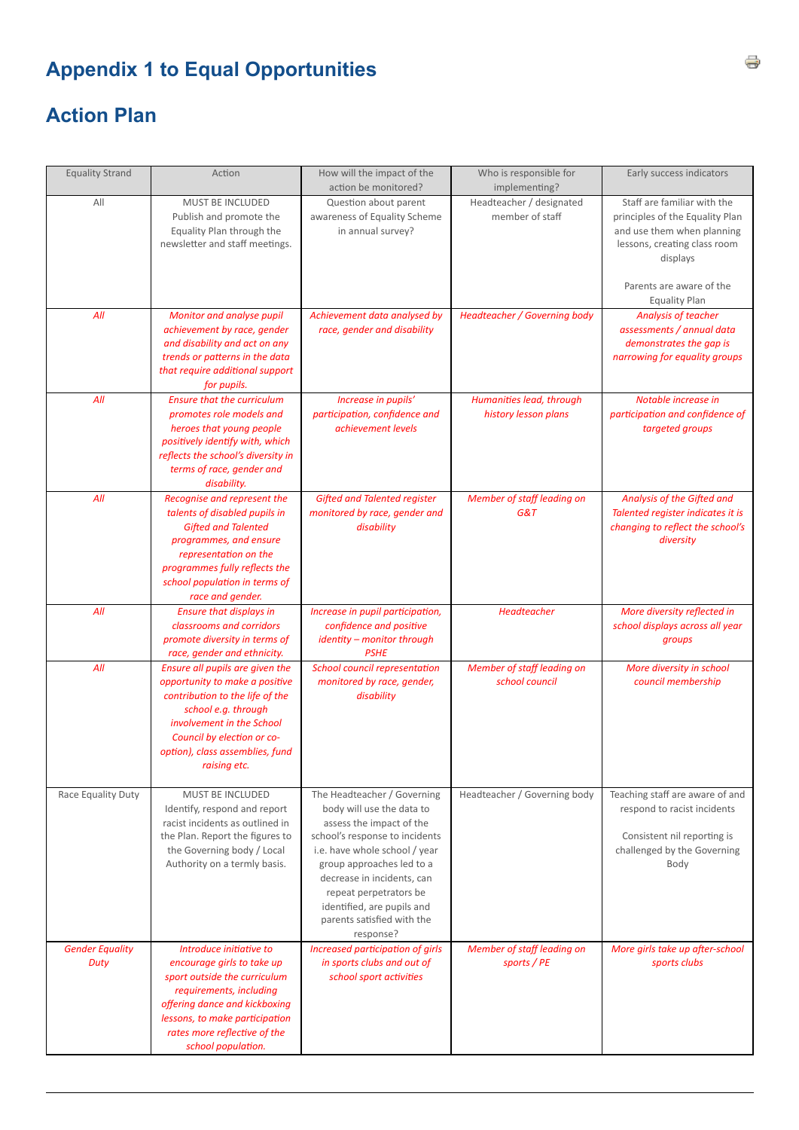## **Appendix 1 to Equal Opportunities**

## **Action Plan**

| <b>Equality Strand</b>         | Action                                                                                                                                                                                                                                    | How will the impact of the<br>action be monitored?                                                                                                                                                                                                                                                                    | Who is responsible for<br>implementing?          | Early success indicators                                                                                                                                                                     |
|--------------------------------|-------------------------------------------------------------------------------------------------------------------------------------------------------------------------------------------------------------------------------------------|-----------------------------------------------------------------------------------------------------------------------------------------------------------------------------------------------------------------------------------------------------------------------------------------------------------------------|--------------------------------------------------|----------------------------------------------------------------------------------------------------------------------------------------------------------------------------------------------|
| All                            | MUST BE INCLUDED<br>Publish and promote the<br>Equality Plan through the<br>newsletter and staff meetings.                                                                                                                                | Question about parent<br>awareness of Equality Scheme<br>in annual survey?                                                                                                                                                                                                                                            | Headteacher / designated<br>member of staff      | Staff are familiar with the<br>principles of the Equality Plan<br>and use them when planning<br>lessons, creating class room<br>displays<br>Parents are aware of the<br><b>Equality Plan</b> |
| All                            | Monitor and analyse pupil<br>achievement by race, gender<br>and disability and act on any<br>trends or patterns in the data<br>that require additional support<br>for pupils.                                                             | Achievement data analysed by<br>race, gender and disability                                                                                                                                                                                                                                                           | Headteacher / Governing body                     | Analysis of teacher<br>assessments / annual data<br>demonstrates the gap is<br>narrowing for equality groups                                                                                 |
| All                            | <b>Ensure that the curriculum</b><br>promotes role models and<br>heroes that young people<br>positively identify with, which<br>reflects the school's diversity in<br>terms of race, gender and<br>disability.                            | Increase in pupils'<br>participation, confidence and<br>achievement levels                                                                                                                                                                                                                                            | Humanities lead, through<br>history lesson plans | Notable increase in<br>participation and confidence of<br>targeted groups                                                                                                                    |
| All                            | Recognise and represent the<br>talents of disabled pupils in<br><b>Gifted and Talented</b><br>programmes, and ensure<br>representation on the<br>programmes fully reflects the<br>school population in terms of<br>race and gender.       | <b>Gifted and Talented register</b><br>monitored by race, gender and<br>disability                                                                                                                                                                                                                                    | Member of staff leading on<br>G&T                | Analysis of the Gifted and<br>Talented register indicates it is<br>changing to reflect the school's<br>diversity                                                                             |
| All                            | <b>Ensure that displays in</b><br>classrooms and corridors<br>promote diversity in terms of<br>race, gender and ethnicity.                                                                                                                | Increase in pupil participation,<br>confidence and positive<br>identity - monitor through<br><b>PSHE</b>                                                                                                                                                                                                              | Headteacher                                      | More diversity reflected in<br>school displays across all year<br>groups                                                                                                                     |
| All                            | Ensure all pupils are given the<br>opportunity to make a positive<br>contribution to the life of the<br>school e.g. through<br>involvement in the School<br>Council by election or co-<br>option), class assemblies, fund<br>raising etc. | School council representation<br>monitored by race, gender,<br>disability                                                                                                                                                                                                                                             | Member of staff leading on<br>school council     | More diversity in school<br>council membership                                                                                                                                               |
| Race Equality Duty             | <b>MUST BE INCLUDED</b><br>Identify, respond and report<br>racist incidents as outlined in<br>the Plan. Report the figures to<br>the Governing body / Local<br>Authority on a termly basis.                                               | The Headteacher / Governing<br>body will use the data to<br>assess the impact of the<br>school's response to incidents<br>i.e. have whole school / year<br>group approaches led to a<br>decrease in incidents, can<br>repeat perpetrators be<br>identified, are pupils and<br>parents satisfied with the<br>response? | Headteacher / Governing body                     | Teaching staff are aware of and<br>respond to racist incidents<br>Consistent nil reporting is<br>challenged by the Governing<br>Body                                                         |
| <b>Gender Equality</b><br>Duty | Introduce initiative to<br>encourage girls to take up<br>sport outside the curriculum<br>requirements, including<br>offering dance and kickboxing<br>lessons, to make participation<br>rates more reflective of the<br>school population. | Increased participation of girls<br>in sports clubs and out of<br>school sport activities                                                                                                                                                                                                                             | Member of staff leading on<br>sports / PE        | More girls take up after-school<br>sports clubs                                                                                                                                              |